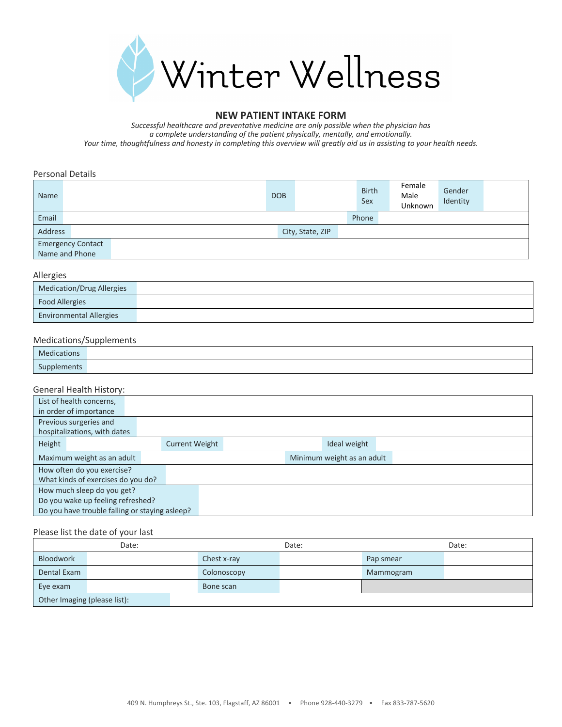

#### **NEW PATIENT INTAKE FORM**

*Successful healthcare and preventative medicine are only possible when the physician has a complete understanding of the patient physically, mentally, and emotionally. Your time, thoughtfulness and honesty in completing this overview will greatly aid us in assisting to your health needs.*

Personal Details

| Name                     | <b>DOB</b> |                  | <b>Birth</b><br>Sex | Female<br>Male<br>Unknown | Gender<br>Identity |  |
|--------------------------|------------|------------------|---------------------|---------------------------|--------------------|--|
| Email                    |            |                  | Phone               |                           |                    |  |
| Address                  |            | City, State, ZIP |                     |                           |                    |  |
| <b>Emergency Contact</b> |            |                  |                     |                           |                    |  |
| Name and Phone           |            |                  |                     |                           |                    |  |

Allergies

| $1.001$ and $2.00$               |  |  |  |  |  |  |
|----------------------------------|--|--|--|--|--|--|
| <b>Medication/Drug Allergies</b> |  |  |  |  |  |  |
| <b>Food Allergies</b>            |  |  |  |  |  |  |
| <b>Environmental Allergies</b>   |  |  |  |  |  |  |

### Medications/Supplements

| .<br>cations       |  |
|--------------------|--|
| $\sim$<br>plements |  |

#### General Health History:

| List of health concerns,                       |                       |                            |  |  |
|------------------------------------------------|-----------------------|----------------------------|--|--|
| in order of importance                         |                       |                            |  |  |
| Previous surgeries and                         |                       |                            |  |  |
| hospitalizations, with dates                   |                       |                            |  |  |
| Height                                         | <b>Current Weight</b> | Ideal weight               |  |  |
| Maximum weight as an adult                     |                       | Minimum weight as an adult |  |  |
| How often do you exercise?                     |                       |                            |  |  |
| What kinds of exercises do you do?             |                       |                            |  |  |
| How much sleep do you get?                     |                       |                            |  |  |
| Do you wake up feeling refreshed?              |                       |                            |  |  |
| Do you have trouble falling or staying asleep? |                       |                            |  |  |

#### Please list the date of your last

| Date:                        |             | Date: |           | Date: |
|------------------------------|-------------|-------|-----------|-------|
| Bloodwork                    | Chest x-ray |       | Pap smear |       |
| Dental Exam                  | Colonoscopy |       | Mammogram |       |
| Eye exam                     | Bone scan   |       |           |       |
| Other Imaging (please list): |             |       |           |       |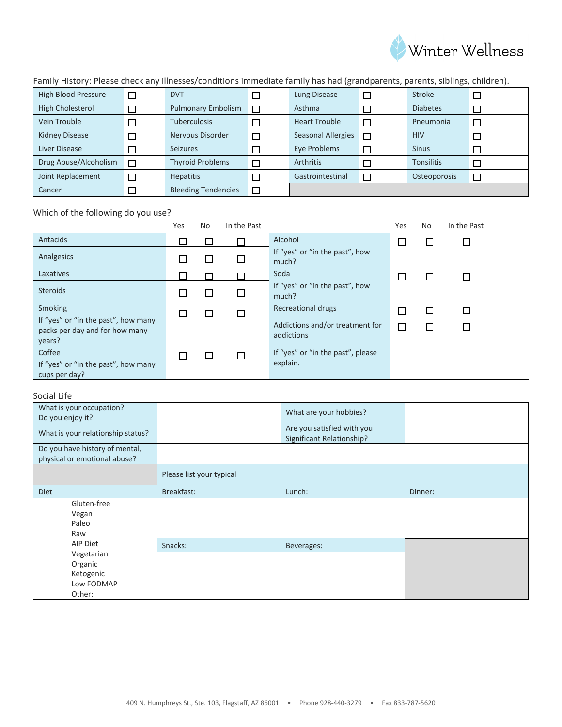

Family History: Please check any illnesses/conditions immediate family has had (grandparents, parents, siblings, children).

| High Blood Pressure     | <b>DVT</b>                 | Lung Disease              | □      | <b>Stroke</b>     |  |
|-------------------------|----------------------------|---------------------------|--------|-------------------|--|
| <b>High Cholesterol</b> | <b>Pulmonary Embolism</b>  | Asthma                    |        | <b>Diabetes</b>   |  |
| Vein Trouble            | <b>Tuberculosis</b>        | <b>Heart Trouble</b>      | $\Box$ | Pneumonia         |  |
| <b>Kidney Disease</b>   | Nervous Disorder           | <b>Seasonal Allergies</b> | $\Box$ | <b>HIV</b>        |  |
| Liver Disease           | <b>Seizures</b>            | Eye Problems              | $\Box$ | <b>Sinus</b>      |  |
| Drug Abuse/Alcoholism   | <b>Thyroid Problems</b>    | <b>Arthritis</b>          | □      | <b>Tonsilitis</b> |  |
| Joint Replacement       | <b>Hepatitis</b>           | Gastrointestinal          | $\Box$ | Osteoporosis      |  |
| Cancer                  | <b>Bleeding Tendencies</b> |                           |        |                   |  |

# Which of the following do you use?

|                                                                                 | Yes | No | In the Past |                                               | Yes | No. | In the Past |  |
|---------------------------------------------------------------------------------|-----|----|-------------|-----------------------------------------------|-----|-----|-------------|--|
| Antacids                                                                        |     |    |             | Alcohol                                       |     |     |             |  |
| Analgesics                                                                      | ∟   | L  | $\Box$      | If "yes" or "in the past", how<br>much?       |     |     |             |  |
| Laxatives                                                                       |     |    |             | Soda                                          |     |     |             |  |
| <b>Steroids</b>                                                                 |     | L  |             | If "yes" or "in the past", how<br>much?       |     |     |             |  |
| Smoking                                                                         |     |    |             | <b>Recreational drugs</b>                     |     |     |             |  |
| If "yes" or "in the past", how many<br>packs per day and for how many<br>years? |     |    |             | Addictions and/or treatment for<br>addictions | □   |     |             |  |
| Coffee<br>If "yes" or "in the past", how many<br>cups per day?                  |     |    |             | If "yes" or "in the past", please<br>explain. |     |     |             |  |

## Social Life

| What is your occupation?<br>Do you enjoy it?                   |                          | What are your hobbies?                                  |         |
|----------------------------------------------------------------|--------------------------|---------------------------------------------------------|---------|
| What is your relationship status?                              |                          | Are you satisfied with you<br>Significant Relationship? |         |
| Do you have history of mental,<br>physical or emotional abuse? |                          |                                                         |         |
|                                                                | Please list your typical |                                                         |         |
| Diet                                                           | Breakfast:               | Lunch:                                                  | Dinner: |
| Gluten-free<br>Vegan<br>Paleo<br>Raw                           |                          |                                                         |         |
| AIP Diet                                                       | Snacks:                  | Beverages:                                              |         |
| Vegetarian<br>Organic<br>Ketogenic<br>Low FODMAP<br>Other:     |                          |                                                         |         |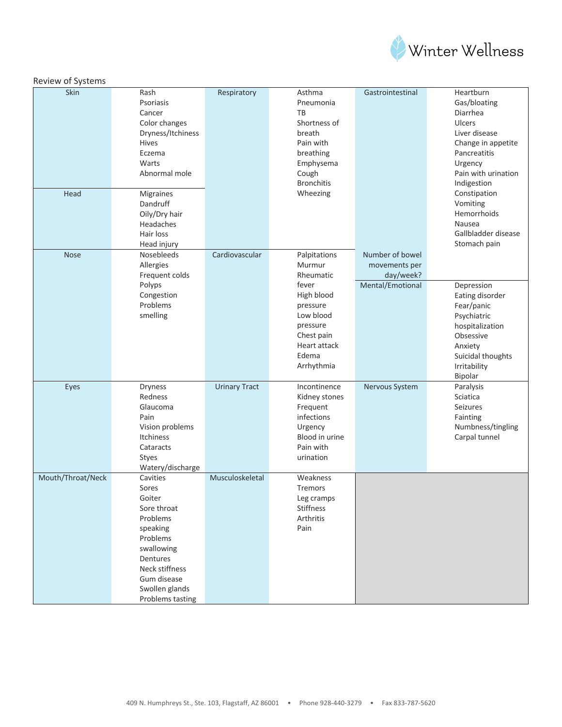

| Review of Systems |                   |                      |                   |                  |                     |
|-------------------|-------------------|----------------------|-------------------|------------------|---------------------|
| Skin              | Rash              | Respiratory          | Asthma            | Gastrointestinal | Heartburn           |
|                   | Psoriasis         |                      | Pneumonia         |                  | Gas/bloating        |
|                   | Cancer            |                      | TB                |                  | Diarrhea            |
|                   | Color changes     |                      | Shortness of      |                  | <b>Ulcers</b>       |
|                   | Dryness/Itchiness |                      | breath            |                  | Liver disease       |
|                   | Hives             |                      | Pain with         |                  | Change in appetite  |
|                   | Eczema            |                      | breathing         |                  | Pancreatitis        |
|                   | Warts             |                      | Emphysema         |                  | Urgency             |
|                   | Abnormal mole     |                      | Cough             |                  | Pain with urination |
|                   |                   |                      | <b>Bronchitis</b> |                  | Indigestion         |
| Head              | Migraines         |                      | Wheezing          |                  | Constipation        |
|                   | Dandruff          |                      |                   |                  | Vomiting            |
|                   | Oily/Dry hair     |                      |                   |                  | Hemorrhoids         |
|                   | Headaches         |                      |                   |                  | Nausea              |
|                   | Hair loss         |                      |                   |                  | Gallbladder disease |
|                   | Head injury       |                      |                   |                  | Stomach pain        |
| <b>Nose</b>       | Nosebleeds        | Cardiovascular       | Palpitations      | Number of bowel  |                     |
|                   | Allergies         |                      | Murmur            | movements per    |                     |
|                   | Frequent colds    |                      | Rheumatic         | day/week?        |                     |
|                   | Polyps            |                      | fever             | Mental/Emotional | Depression          |
|                   | Congestion        |                      | High blood        |                  | Eating disorder     |
|                   | Problems          |                      | pressure          |                  | Fear/panic          |
|                   | smelling          |                      | Low blood         |                  | Psychiatric         |
|                   |                   |                      | pressure          |                  | hospitalization     |
|                   |                   |                      | Chest pain        |                  | Obsessive           |
|                   |                   |                      | Heart attack      |                  | Anxiety             |
|                   |                   |                      | Edema             |                  | Suicidal thoughts   |
|                   |                   |                      | Arrhythmia        |                  | Irritability        |
|                   |                   |                      |                   |                  | Bipolar             |
| Eyes              | <b>Dryness</b>    | <b>Urinary Tract</b> | Incontinence      | Nervous System   | Paralysis           |
|                   | Redness           |                      | Kidney stones     |                  | Sciatica            |
|                   | Glaucoma          |                      | Frequent          |                  | Seizures            |
|                   | Pain              |                      | infections        |                  | Fainting            |
|                   | Vision problems   |                      | Urgency           |                  | Numbness/tingling   |
|                   | <b>Itchiness</b>  |                      | Blood in urine    |                  | Carpal tunnel       |
|                   | Cataracts         |                      | Pain with         |                  |                     |
|                   | Styes             |                      | urination         |                  |                     |
|                   | Watery/discharge  |                      |                   |                  |                     |
| Mouth/Throat/Neck | Cavities          | Musculoskeletal      | Weakness          |                  |                     |
|                   | Sores             |                      | Tremors           |                  |                     |
|                   | Goiter            |                      | Leg cramps        |                  |                     |
|                   | Sore throat       |                      | Stiffness         |                  |                     |
|                   | Problems          |                      | Arthritis         |                  |                     |
|                   | speaking          |                      | Pain              |                  |                     |
|                   | Problems          |                      |                   |                  |                     |
|                   | swallowing        |                      |                   |                  |                     |
|                   | Dentures          |                      |                   |                  |                     |
|                   | Neck stiffness    |                      |                   |                  |                     |
|                   | Gum disease       |                      |                   |                  |                     |
|                   | Swollen glands    |                      |                   |                  |                     |
|                   | Problems tasting  |                      |                   |                  |                     |